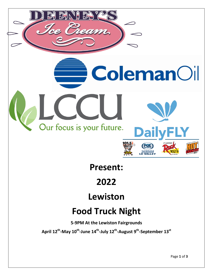

**Present:**

**2022**

**Lewiston**

## **Food Truck Night**

**5-9PM At the Lewiston Fairgrounds**

 $\mathbf{A}\mathbf{p}$ ril 12<sup>th</sup>-May 10<sup>th</sup>-June 14<sup>th</sup>-July 12<sup>th</sup>-August 9<sup>th</sup>-September 13<sup>st</sup>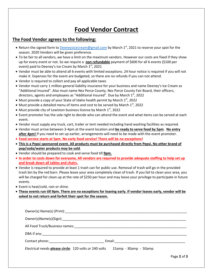## **Food Vendor Contract**

## **The Food Vendor agrees to the following:**

- Return the signed form to **Deeneysicecream@gmail.com** by March 1<sup>st</sup>, 2021 to reserve your spot for the season. 2020 Vendors will be given preference.
- To be fair to all vendors, we have a limit on the maximum vendors. However our costs are fixed if they show up for every event or not. So we require a **non refundable** payment of \$600 for all 6 events (\$100 per event) paid to Deeney's Ice Cream by March  $1<sup>st</sup>$ , 2021
- Vendor must be able to attend all 6 events with limited exceptions. 24 hour notice is required if you will not make it. Expenses for the event are budgeted, so there are no refunds if you can not attend.
- Vendor is required to collect and pay all applicable taxes
- Vendor must carry 1 million general liability insurance for your business and name Deeney's Ice Cream as "Additional Insured". Also must name Nez Perce County, Nez Perce County Fair Board, their officers, directors, agents and employees as "Additional Insured". Due by March 1<sup>st</sup>, 2022
- $\bullet$  Must provide a copy of your State of Idaho health permit by March  $1^{st}$ , 2022
- $\bullet$  Must provide a detailed menu of items and cost to be served by March  $1^{\text{st}}$ , 2022
- $\bullet$  Must provide city of Lewiston business license by March  $1<sup>st</sup>$ , 2022
- Event promoter has the sole right to decide who can attend the event and what items can be served at each event.
- Vendor must supply any truck, cart, trailer or tent needed including hand washing facilities as required.
- Vendor must arrive between 3-4pm at the event location and **be ready to serve food by 5pm**. **No entry after 4pm!** If you need to set up earlier, arrangements will need to be made with the event promoter.
- **Food service starts at 5pm. No early food service! There will be no exceptions!**
- **This is a Pepsi sponsored event. All products must be purchased directly from Pepsi. No other brand of pop/soda/water products may be sold**.
- Vendor should be prepared to cook and serve food till **9pm.**
- **In order to costs down for everyone, All vendors are required to provide adequate staffing to help set up and break down all tables and chairs.**
- Vendor is required to provide at least 1 trash can for public use. Removal of trash will go in the provided trash bin by the red barn. Please leave your area completely clean of trash. If you fail to clean your area, you will be charged for clean up at the rate of \$250 per hour and may loose your privilege to participate in future events.
- Event is heat/cold, rain or shine.
- **These events run till 9pm. There are no exceptions for leaving early. If vendor leaves early, vendor will be asked to not return and forfeit their spot for the season.**

| All Food Truck/Business names: Note that the state of the state of the state of the state of the state of the state of the state of the state of the state of the state of the state of the state of the state of the state of |                       |             |
|--------------------------------------------------------------------------------------------------------------------------------------------------------------------------------------------------------------------------------|-----------------------|-------------|
|                                                                                                                                                                                                                                |                       |             |
|                                                                                                                                                                                                                                |                       |             |
| Electrical needs-please circle: 120 volts or 240 volts                                                                                                                                                                         | 15amp - 30amp - 50amp |             |
|                                                                                                                                                                                                                                |                       | Page 2 of 3 |